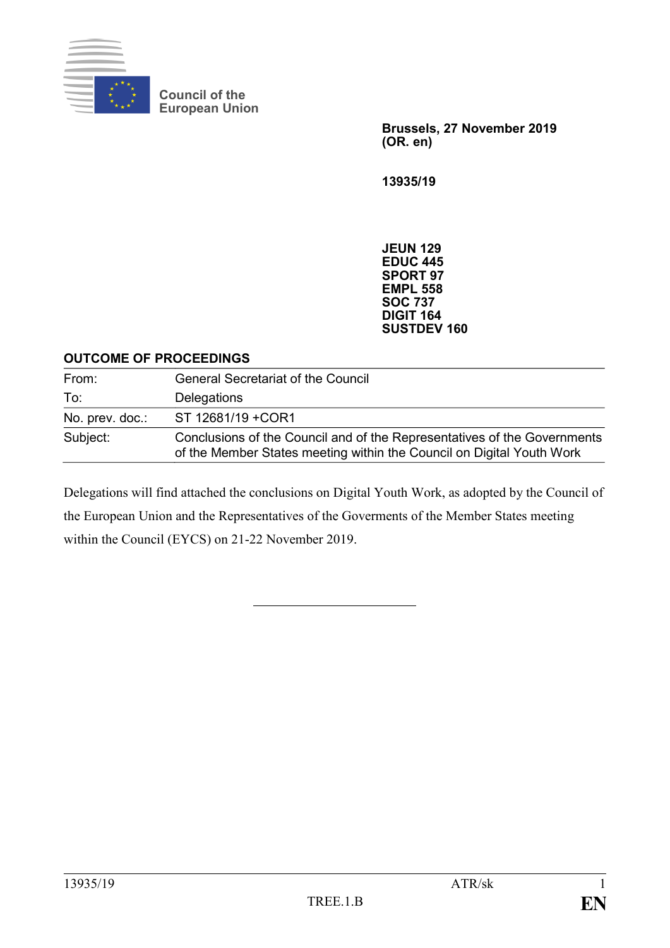

**Council of the European Union**

> **Brussels, 27 November 2019 (OR. en)**

**13935/19**

**JEUN 129 EDUC 445 SPORT 97 EMPL 558 SOC 737 DIGIT 164 SUSTDEV 160**

#### **OUTCOME OF PROCEEDINGS**

| From:           | <b>General Secretariat of the Council</b>                                                                                                         |
|-----------------|---------------------------------------------------------------------------------------------------------------------------------------------------|
| To:             | Delegations                                                                                                                                       |
| No. prev. doc.: | ST 12681/19 + COR1                                                                                                                                |
| Subject:        | Conclusions of the Council and of the Representatives of the Governments<br>of the Member States meeting within the Council on Digital Youth Work |

Delegations will find attached the conclusions on Digital Youth Work, as adopted by the Council of the European Union and the Representatives of the Goverments of the Member States meeting within the Council (EYCS) on 21-22 November 2019.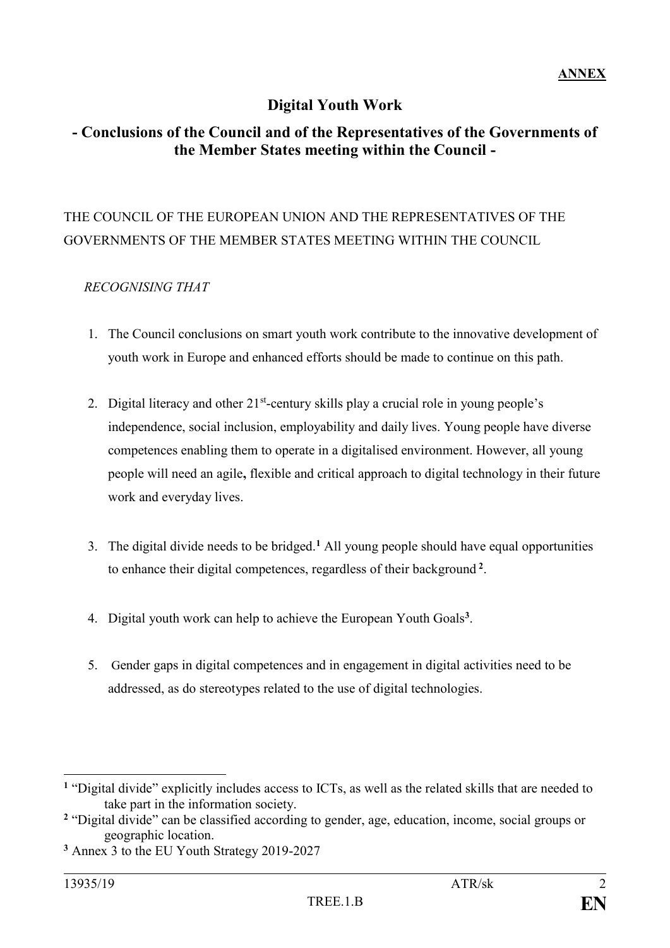### **Digital Youth Work**

### **- Conclusions of the Council and of the Representatives of the Governments of the Member States meeting within the Council -**

## THE COUNCIL OF THE EUROPEAN UNION AND THE REPRESENTATIVES OF THE GOVERNMENTS OF THE MEMBER STATES MEETING WITHIN THE COUNCIL

#### *RECOGNISING THAT*

- 1. The Council conclusions on smart youth work contribute to the innovative development of youth work in Europe and enhanced efforts should be made to continue on this path.
- 2. Digital literacy and other 21<sup>st</sup>-century skills play a crucial role in young people's independence, social inclusion, employability and daily lives. Young people have diverse competences enabling them to operate in a digitalised environment. However, all young people will need an agile**,** flexible and critical approach to digital technology in their future work and everyday lives.
- 3. The digital divide needs to be bridged.**<sup>1</sup>** All young people should have equal opportunities to enhance their digital competences, regardless of their background **<sup>2</sup>** .
- 4. Digital youth work can help to achieve the European Youth Goals**<sup>3</sup>** .
- 5. Gender gaps in digital competences and in engagement in digital activities need to be addressed, as do stereotypes related to the use of digital technologies.

1

**<sup>1</sup>** "Digital divide" explicitly includes access to ICTs, as well as the related skills that are needed to take part in the information society.

**<sup>2</sup>** "Digital divide" can be classified according to gender, age, education, income, social groups or geographic location.

**<sup>3</sup>** Annex 3 to the EU Youth Strategy 2019-2027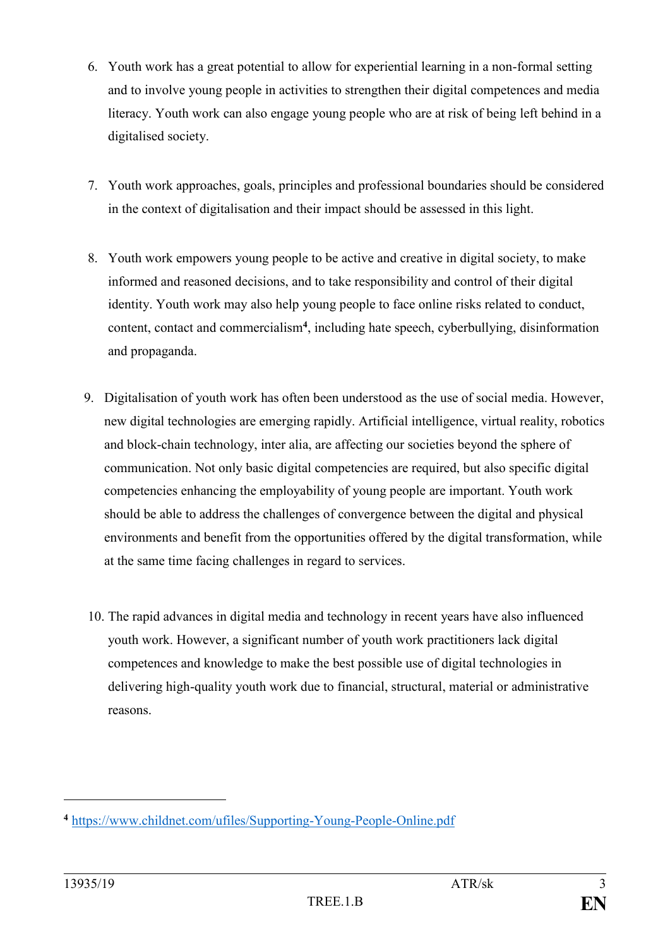- 6. Youth work has a great potential to allow for experiential learning in a non-formal setting and to involve young people in activities to strengthen their digital competences and media literacy. Youth work can also engage young people who are at risk of being left behind in a digitalised society.
- 7. Youth work approaches, goals, principles and professional boundaries should be considered in the context of digitalisation and their impact should be assessed in this light.
- 8. Youth work empowers young people to be active and creative in digital society, to make informed and reasoned decisions, and to take responsibility and control of their digital identity. Youth work may also help young people to face online risks related to conduct, content, contact and commercialism**<sup>4</sup>** , including hate speech, cyberbullying, disinformation and propaganda.
- 9. Digitalisation of youth work has often been understood as the use of social media. However, new digital technologies are emerging rapidly. Artificial intelligence, virtual reality, robotics and block-chain technology, inter alia, are affecting our societies beyond the sphere of communication. Not only basic digital competencies are required, but also specific digital competencies enhancing the employability of young people are important. Youth work should be able to address the challenges of convergence between the digital and physical environments and benefit from the opportunities offered by the digital transformation, while at the same time facing challenges in regard to services.
- 10. The rapid advances in digital media and technology in recent years have also influenced youth work. However, a significant number of youth work practitioners lack digital competences and knowledge to make the best possible use of digital technologies in delivering high-quality youth work due to financial, structural, material or administrative reasons.

1

**<sup>4</sup>** https://www.childnet.com/ufiles/Supporting-Young-People-Online.pdf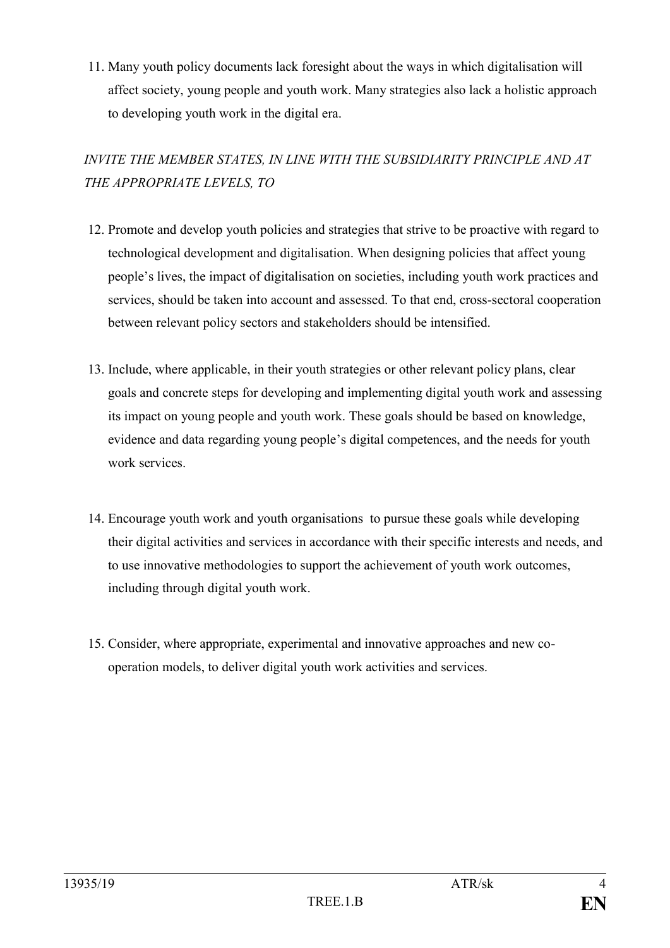11. Many youth policy documents lack foresight about the ways in which digitalisation will affect society, young people and youth work. Many strategies also lack a holistic approach to developing youth work in the digital era.

# *INVITE THE MEMBER STATES, IN LINE WITH THE SUBSIDIARITY PRINCIPLE AND AT THE APPROPRIATE LEVELS, TO*

- 12. Promote and develop youth policies and strategies that strive to be proactive with regard to technological development and digitalisation. When designing policies that affect young people's lives, the impact of digitalisation on societies, including youth work practices and services, should be taken into account and assessed. To that end, cross-sectoral cooperation between relevant policy sectors and stakeholders should be intensified.
- 13. Include, where applicable, in their youth strategies or other relevant policy plans, clear goals and concrete steps for developing and implementing digital youth work and assessing its impact on young people and youth work. These goals should be based on knowledge, evidence and data regarding young people's digital competences, and the needs for youth work services.
- 14. Encourage youth work and youth organisations to pursue these goals while developing their digital activities and services in accordance with their specific interests and needs, and to use innovative methodologies to support the achievement of youth work outcomes, including through digital youth work.
- 15. Consider, where appropriate, experimental and innovative approaches and new cooperation models, to deliver digital youth work activities and services.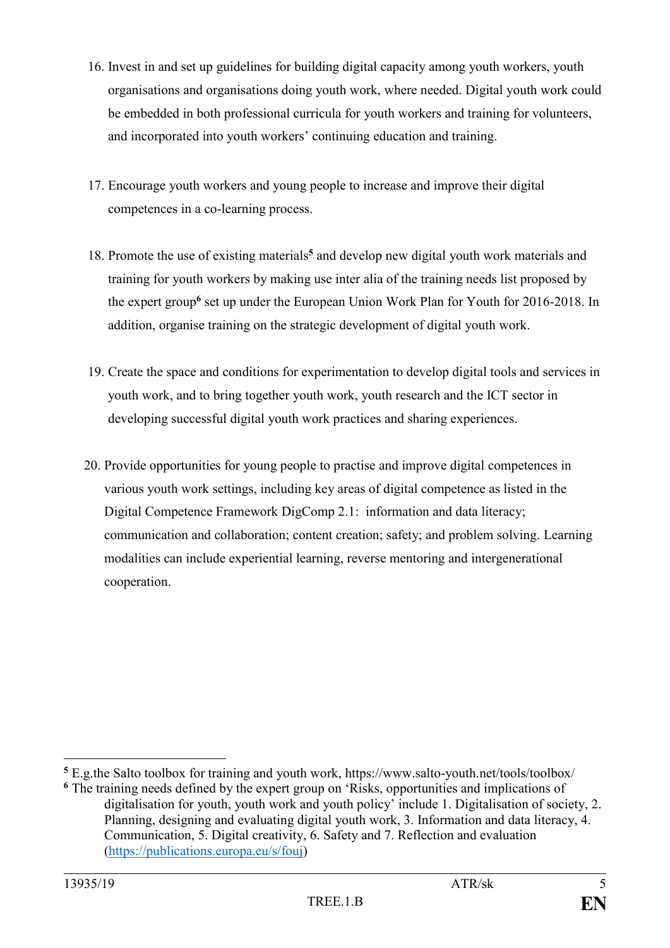- 16. Invest in and set up guidelines for building digital capacity among youth workers, youth organisations and organisations doing youth work, where needed. Digital youth work could be embedded in both professional curricula for youth workers and training for volunteers, and incorporated into youth workers' continuing education and training.
- 17. Encourage youth workers and young people to increase and improve their digital competences in a co-learning process.
- 18. Promote the use of existing materials**<sup>5</sup>** and develop new digital youth work materials and training for youth workers by making use inter alia of the training needs list proposed by the expert group**<sup>6</sup>** set up under the European Union Work Plan for Youth for 2016-2018. In addition, organise training on the strategic development of digital youth work.
- 19. Create the space and conditions for experimentation to develop digital tools and services in youth work, and to bring together youth work, youth research and the ICT sector in developing successful digital youth work practices and sharing experiences.
- 20. Provide opportunities for young people to practise and improve digital competences in various youth work settings, including key areas of digital competence as listed in the Digital Competence Framework DigComp 2.1: information and data literacy; communication and collaboration; content creation; safety; and problem solving. Learning modalities can include experiential learning, reverse mentoring and intergenerational cooperation.

1

**<sup>5</sup>** E.g.the Salto toolbox for training and youth work, https://www.salto-youth.net/tools/toolbox/

**<sup>6</sup>** The training needs defined by the expert group on 'Risks, opportunities and implications of digitalisation for youth, youth work and youth policy' include 1. Digitalisation of society, 2. Planning, designing and evaluating digital youth work, 3. Information and data literacy, 4. Communication, 5. Digital creativity, 6. Safety and 7. Reflection and evaluation [\(https://publications.europa.eu/s/fouj\)](https://publications.europa.eu/s/fouj)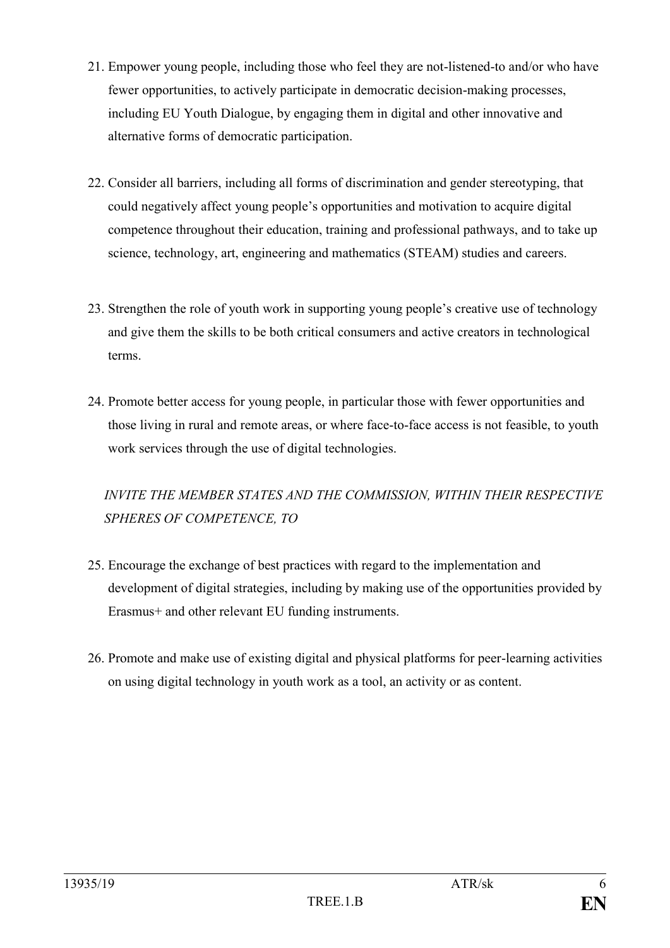- 21. Empower young people, including those who feel they are not-listened-to and/or who have fewer opportunities, to actively participate in democratic decision-making processes, including EU Youth Dialogue, by engaging them in digital and other innovative and alternative forms of democratic participation.
- 22. Consider all barriers, including all forms of discrimination and gender stereotyping, that could negatively affect young people's opportunities and motivation to acquire digital competence throughout their education, training and professional pathways, and to take up science, technology, art, engineering and mathematics (STEAM) studies and careers.
- 23. Strengthen the role of youth work in supporting young people's creative use of technology and give them the skills to be both critical consumers and active creators in technological terms.
- 24. Promote better access for young people, in particular those with fewer opportunities and those living in rural and remote areas, or where face-to-face access is not feasible, to youth work services through the use of digital technologies.

# *INVITE THE MEMBER STATES AND THE COMMISSION, WITHIN THEIR RESPECTIVE SPHERES OF COMPETENCE, TO*

- 25. Encourage the exchange of best practices with regard to the implementation and development of digital strategies, including by making use of the opportunities provided by Erasmus+ and other relevant EU funding instruments.
- 26. Promote and make use of existing digital and physical platforms for peer-learning activities on using digital technology in youth work as a tool, an activity or as content.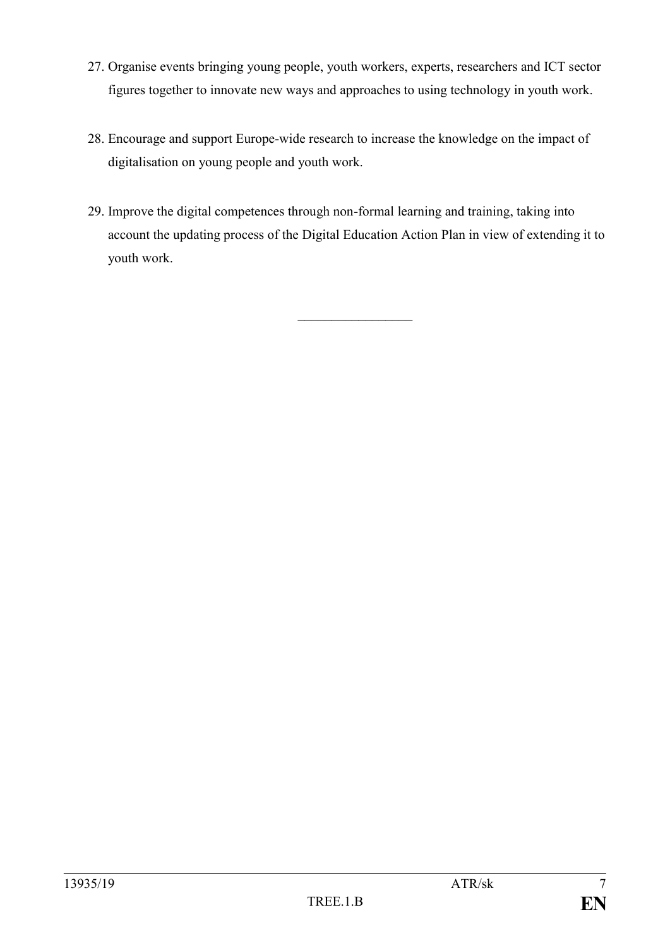- 27. Organise events bringing young people, youth workers, experts, researchers and ICT sector figures together to innovate new ways and approaches to using technology in youth work.
- 28. Encourage and support Europe-wide research to increase the knowledge on the impact of digitalisation on young people and youth work.
- 29. Improve the digital competences through non-formal learning and training, taking into account the updating process of the Digital Education Action Plan in view of extending it to youth work.

 $\frac{1}{2}$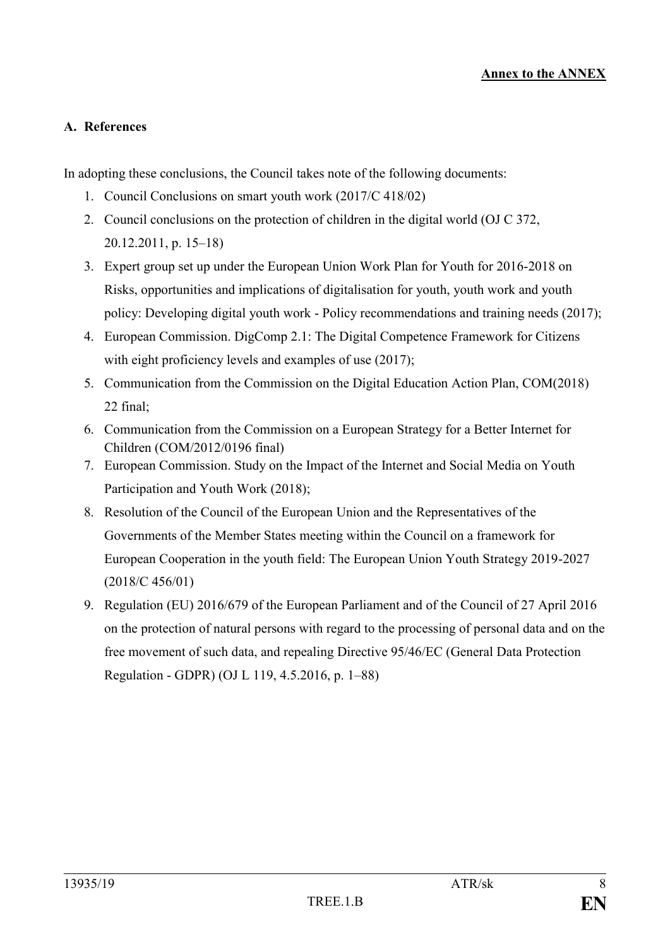#### **A. References**

In adopting these conclusions, the Council takes note of the following documents:

- 1. Council Conclusions on smart youth work (2017/C 418/02)
- 2. Council conclusions on the protection of children in the digital world (OJ C 372, 20.12.2011, p. 15–18)
- 3. Expert group set up under the European Union Work Plan for Youth for 2016-2018 on Risks, opportunities and implications of digitalisation for youth, youth work and youth policy: Developing digital youth work - Policy recommendations and training needs (2017);
- 4. European Commission. DigComp 2.1: The Digital Competence Framework for Citizens with eight proficiency levels and examples of use  $(2017)$ ;
- 5. Communication from the Commission on the Digital Education Action Plan, COM(2018) 22 final;
- 6. Communication from the Commission on a European Strategy for a Better Internet for Children (COM/2012/0196 final)
- 7. European Commission. Study on the Impact of the Internet and Social Media on Youth Participation and Youth Work (2018);
- 8. Resolution of the Council of the European Union and the Representatives of the Governments of the Member States meeting within the Council on a framework for European Cooperation in the youth field: The European Union Youth Strategy 2019-2027 (2018/C 456/01)
- 9. Regulation (EU) 2016/679 of the European Parliament and of the Council of 27 April 2016 on the protection of natural persons with regard to the processing of personal data and on the free movement of such data, and repealing Directive 95/46/EC (General Data Protection Regulation - GDPR) (OJ L 119, 4.5.2016, p. 1–88)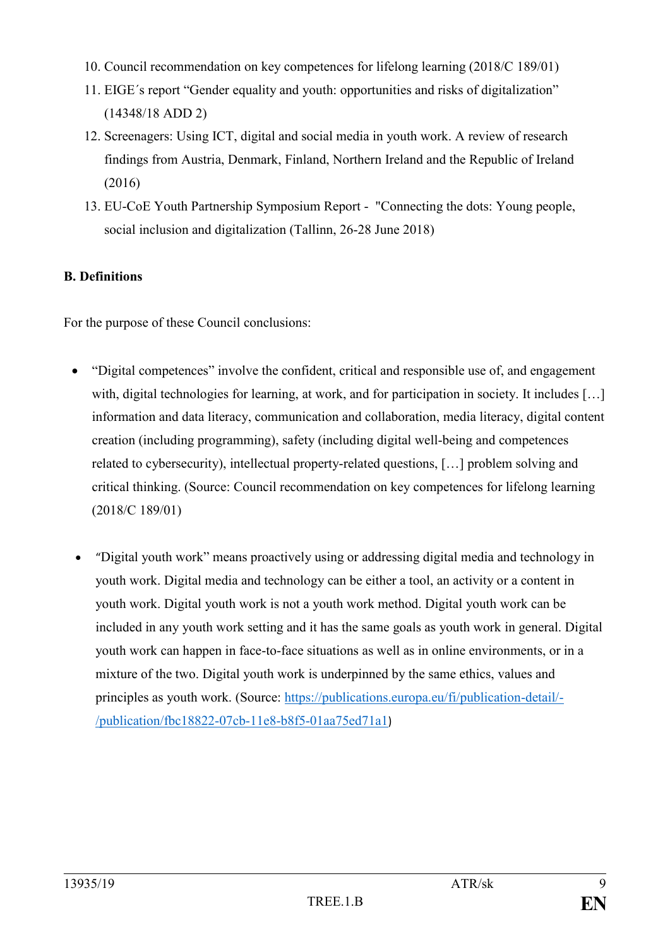- 10. Council recommendation on key competences for lifelong learning (2018/C 189/01)
- 11. EIGE´s report "Gender equality and youth: opportunities and risks of digitalization" (14348/18 ADD 2)
- 12. Screenagers: Using ICT, digital and social media in youth work. A review of research findings from Austria, Denmark, Finland, Northern Ireland and the Republic of Ireland (2016)
- 13. EU-CoE Youth Partnership Symposium Report "Connecting the dots: Young people, social inclusion and digitalization (Tallinn, 26-28 June 2018)

### **B. Definitions**

For the purpose of these Council conclusions:

- "Digital competences" involve the confident, critical and responsible use of, and engagement with, digital technologies for learning, at work, and for participation in society. It includes [...] information and data literacy, communication and collaboration, media literacy, digital content creation (including programming), safety (including digital well-being and competences related to cybersecurity), intellectual property-related questions, […] problem solving and critical thinking. (Source: Council recommendation on key competences for lifelong learning (2018/C 189/01)
- "Digital youth work" means proactively using or addressing digital media and technology in youth work. Digital media and technology can be either a tool, an activity or a content in youth work. Digital youth work is not a youth work method. Digital youth work can be included in any youth work setting and it has the same goals as youth work in general. Digital youth work can happen in face-to-face situations as well as in online environments, or in a mixture of the two. Digital youth work is underpinned by the same ethics, values and principles as youth work. (Source: [https://publications.europa.eu/fi/publication-detail/-](https://publications.europa.eu/fi/publication-detail/-/publication/fbc18822-07cb-11e8-b8f5-01aa75ed71a1) [/publication/fbc18822-07cb-11e8-b8f5-01aa75ed71a1](https://publications.europa.eu/fi/publication-detail/-/publication/fbc18822-07cb-11e8-b8f5-01aa75ed71a1))